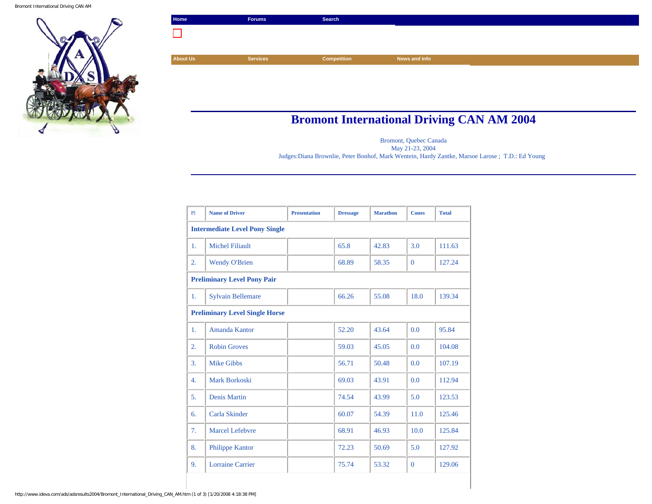Bromont International Driving CAN AM



## **Bromont International Driving CAN AM 2004**

Bromont, Quebec Canada

May 21-23, 2004

Judges:Diana Brownlie, Peter Bonhof, Mark Wentein, Hardy Zantke, Marsoe Larose ; T.D.: Ed Young

| PI                                    | <b>Name of Driver</b>    | <b>Presentation</b> | <b>Dressage</b> | <b>Marathon</b> | <b>Cones</b>   | <b>Total</b> |  |
|---------------------------------------|--------------------------|---------------------|-----------------|-----------------|----------------|--------------|--|
| <b>Intermediate Level Pony Single</b> |                          |                     |                 |                 |                |              |  |
| 1.                                    | <b>Michel Filiault</b>   |                     | 65.8            | 42.83           | 3.0            | 111.63       |  |
| 2.                                    | <b>Wendy O'Brien</b>     |                     | 68.89           | 58.35           | $\Omega$       | 127.24       |  |
| <b>Preliminary Level Pony Pair</b>    |                          |                     |                 |                 |                |              |  |
| 1.                                    | <b>Sylvain Bellemare</b> |                     | 66.26           | 55.08           | 18.0           | 139.34       |  |
| <b>Preliminary Level Single Horse</b> |                          |                     |                 |                 |                |              |  |
| 1.                                    | Amanda Kantor            |                     | 52.20           | 43.64           | 0.0            | 95.84        |  |
| $\overline{2}$ .                      | <b>Robin Groves</b>      |                     | 59.03           | 45.05           | 0.0            | 104.08       |  |
| 3.                                    | <b>Mike Gibbs</b>        |                     | 56.71           | 50.48           | 0.0            | 107.19       |  |
| 4.                                    | Mark Borkoski            |                     | 69.03           | 43.91           | 0.0            | 112.94       |  |
| 5.                                    | <b>Denis Martin</b>      |                     | 74.54           | 43.99           | 5.0            | 123.53       |  |
| 6.                                    | Carla Skinder            |                     | 60.07           | 54.39           | 11.0           | 125.46       |  |
| 7.                                    | Marcel Lefebyre          |                     | 68.91           | 46.93           | 10.0           | 125.84       |  |
| 8.                                    | <b>Philippe Kantor</b>   |                     | 72.23           | 50.69           | 5.0            | 127.92       |  |
| 9.                                    | Lorraine Carrier         |                     | 75.74           | 53.32           | $\overline{0}$ | 129.06       |  |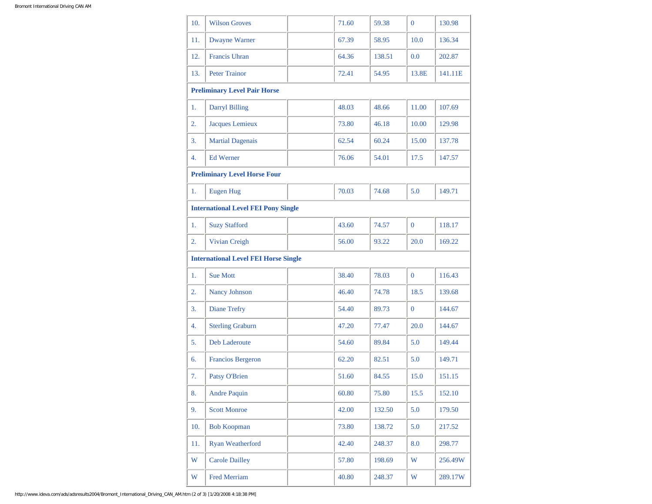| 10. | <b>Wilson Groves</b>                        | 71.60 | 59.38  | $\overline{0}$ | 130.98  |
|-----|---------------------------------------------|-------|--------|----------------|---------|
| 11. | <b>Dwayne Warner</b>                        | 67.39 | 58.95  | 10.0           | 136.34  |
| 12. | <b>Francis Uhran</b>                        | 64.36 | 138.51 | 0.0            | 202.87  |
| 13. | <b>Peter Trainor</b>                        | 72.41 | 54.95  | 13.8E          | 141.11E |
|     | <b>Preliminary Level Pair Horse</b>         |       |        |                |         |
| 1.  | <b>Darryl Billing</b>                       | 48.03 | 48.66  | 11.00          | 107.69  |
| 2.  | <b>Jacques Lemieux</b>                      | 73.80 | 46.18  | 10.00          | 129.98  |
| 3.  | <b>Martial Dagenais</b>                     | 62.54 | 60.24  | 15.00          | 137.78  |
| 4.  | <b>Ed Werner</b>                            | 76.06 | 54.01  | 17.5           | 147.57  |
|     | <b>Preliminary Level Horse Four</b>         |       |        |                |         |
| 1.  | <b>Eugen Hug</b>                            | 70.03 | 74.68  | 5.0            | 149.71  |
|     | <b>International Level FEI Pony Single</b>  |       |        |                |         |
| 1.  | <b>Suzy Stafford</b>                        | 43.60 | 74.57  | $\overline{0}$ | 118.17  |
| 2.  | Vivian Creigh                               | 56.00 | 93.22  | 20.0           | 169.22  |
|     | <b>International Level FEI Horse Single</b> |       |        |                |         |
| 1.  | <b>Sue Mott</b>                             | 38.40 | 78.03  | $\overline{0}$ | 116.43  |
| 2.  | <b>Nancy Johnson</b>                        | 46.40 | 74.78  | 18.5           | 139.68  |
| 3.  | <b>Diane Trefry</b>                         | 54.40 | 89.73  | $\overline{0}$ | 144.67  |
| 4.  | <b>Sterling Graburn</b>                     | 47.20 | 77.47  | 20.0           | 144.67  |
| 5.  | Deb Laderoute                               | 54.60 | 89.84  | 5.0            | 149.44  |
| 6.  | <b>Francios Bergeron</b>                    | 62.20 | 82.51  | 5.0            | 149.71  |
| 7.  | <b>Patsy O'Brien</b>                        | 51.60 | 84.55  | 15.0           | 151.15  |
| 8.  | <b>Andre Paquin</b>                         | 60.80 | 75.80  | 15.5           | 152.10  |
| 9.  | <b>Scott Monroe</b>                         | 42.00 | 132.50 | 5.0            | 179.50  |
| 10. | <b>Bob Koopman</b>                          | 73.80 | 138.72 | 5.0            | 217.52  |
| 11. | <b>Ryan Weatherford</b>                     | 42.40 | 248.37 | 8.0            | 298.77  |
| W   | <b>Carole Dailley</b>                       | 57.80 | 198.69 | W              | 256.49W |
| W   | Fred Merriam                                | 40.80 | 248.37 | W              | 289.17W |